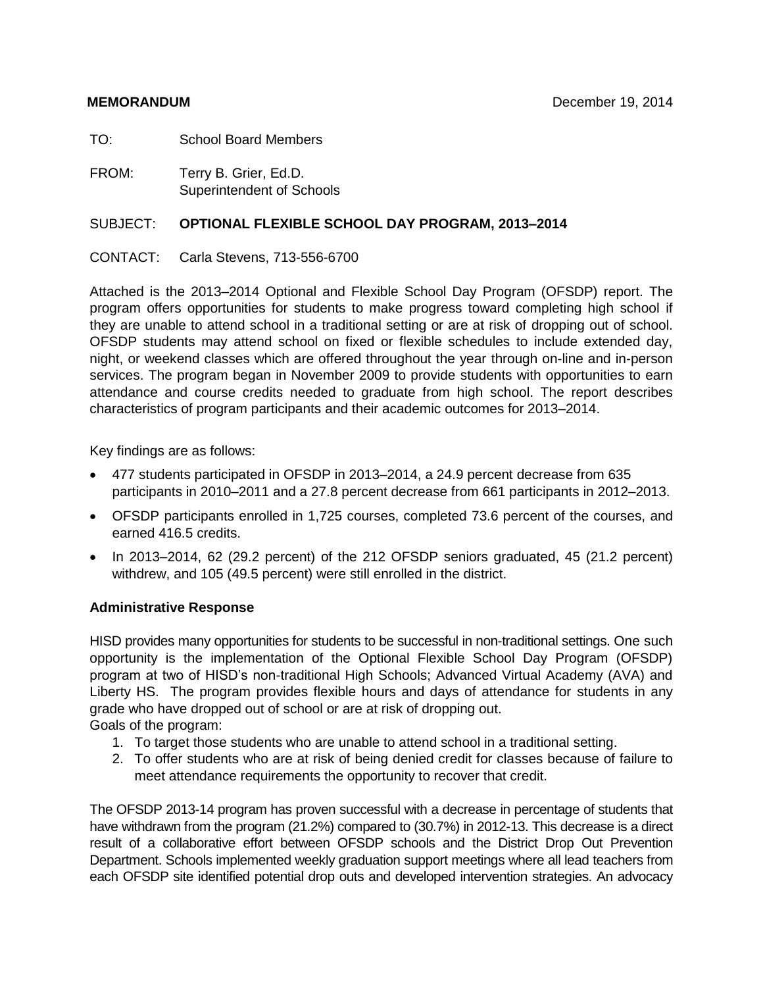TO: School Board Members

FROM: Terry B. Grier, Ed.D. Superintendent of Schools

### SUBJECT: **OPTIONAL FLEXIBLE SCHOOL DAY PROGRAM, 2013–2014**

### CONTACT: Carla Stevens, 713-556-6700

Attached is the 2013–2014 Optional and Flexible School Day Program (OFSDP) report. The program offers opportunities for students to make progress toward completing high school if they are unable to attend school in a traditional setting or are at risk of dropping out of school. OFSDP students may attend school on fixed or flexible schedules to include extended day, night, or weekend classes which are offered throughout the year through on-line and in-person services. The program began in November 2009 to provide students with opportunities to earn attendance and course credits needed to graduate from high school. The report describes characteristics of program participants and their academic outcomes for 2013–2014.

Key findings are as follows:

- 477 students participated in OFSDP in 2013–2014, a 24.9 percent decrease from 635 participants in 2010–2011 and a 27.8 percent decrease from 661 participants in 2012–2013.
- OFSDP participants enrolled in 1,725 courses, completed 73.6 percent of the courses, and earned 416.5 credits.
- In 2013–2014, 62 (29.2 percent) of the 212 OFSDP seniors graduated, 45 (21.2 percent) withdrew, and 105 (49.5 percent) were still enrolled in the district.

### **Administrative Response**

HISD provides many opportunities for students to be successful in non-traditional settings. One such opportunity is the implementation of the Optional Flexible School Day Program (OFSDP) program at two of HISD's non-traditional High Schools; Advanced Virtual Academy (AVA) and Liberty HS. The program provides flexible hours and days of attendance for students in any grade who have dropped out of school or are at risk of dropping out.

Goals of the program:

- 1. To target those students who are unable to attend school in a traditional setting.
- 2. To offer students who are at risk of being denied credit for classes because of failure to meet attendance requirements the opportunity to recover that credit.

The OFSDP 2013-14 program has proven successful with a decrease in percentage of students that have withdrawn from the program (21.2%) compared to (30.7%) in 2012-13. This decrease is a direct result of a collaborative effort between OFSDP schools and the District Drop Out Prevention Department. Schools implemented weekly graduation support meetings where all lead teachers from each OFSDP site identified potential drop outs and developed intervention strategies. An advocacy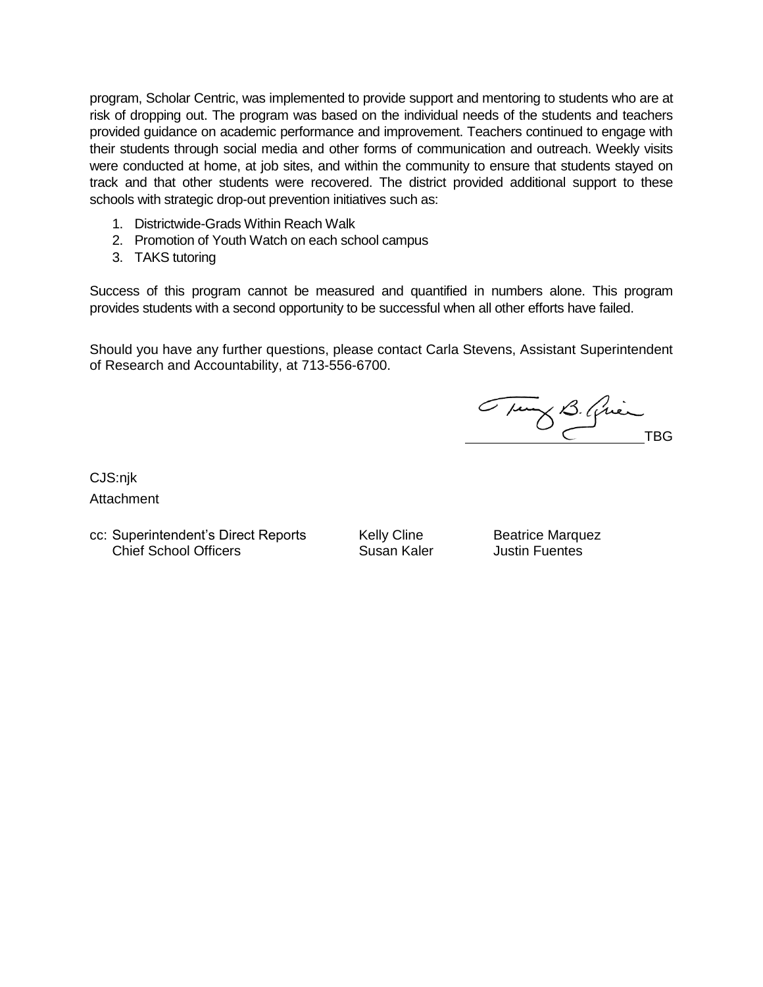program, Scholar Centric, was implemented to provide support and mentoring to students who are at risk of dropping out. The program was based on the individual needs of the students and teachers provided guidance on academic performance and improvement. Teachers continued to engage with their students through social media and other forms of communication and outreach. Weekly visits were conducted at home, at job sites, and within the community to ensure that students stayed on track and that other students were recovered. The district provided additional support to these schools with strategic drop-out prevention initiatives such as:

- 1. Districtwide-Grads Within Reach Walk
- 2. Promotion of Youth Watch on each school campus
- 3. TAKS tutoring

Success of this program cannot be measured and quantified in numbers alone. This program provides students with a second opportunity to be successful when all other efforts have failed.

Should you have any further questions, please contact Carla Stevens, Assistant Superintendent of Research and Accountability, at 713-556-6700.

Tung B. Quin

CJS:njk Attachment

cc: Superintendent's Direct Reports Kelly Cline Beatrice Marquez Chief School Officers Susan Kaler Justin Fuentes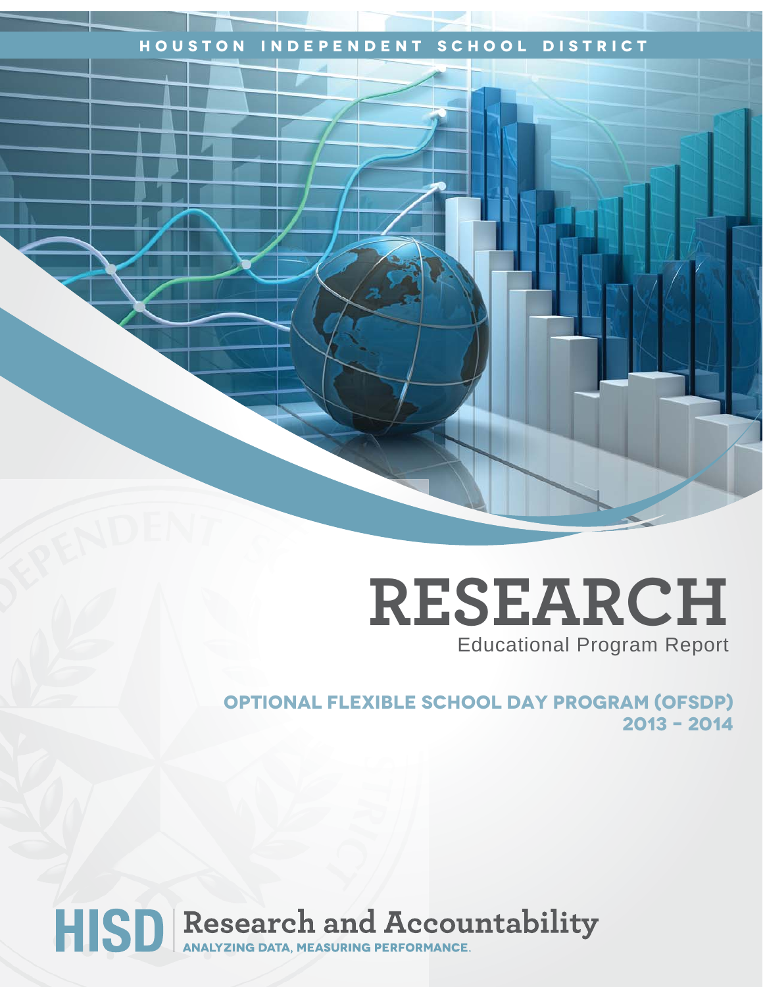# **Houston Independent School District**

# **RESEARCH** Educational Program Report

**OPTIONAL FLEXIBLE SCHOOL DAY PROGRAM (ofsdp) 2013 – 2014** 

# HISD Research and Accountability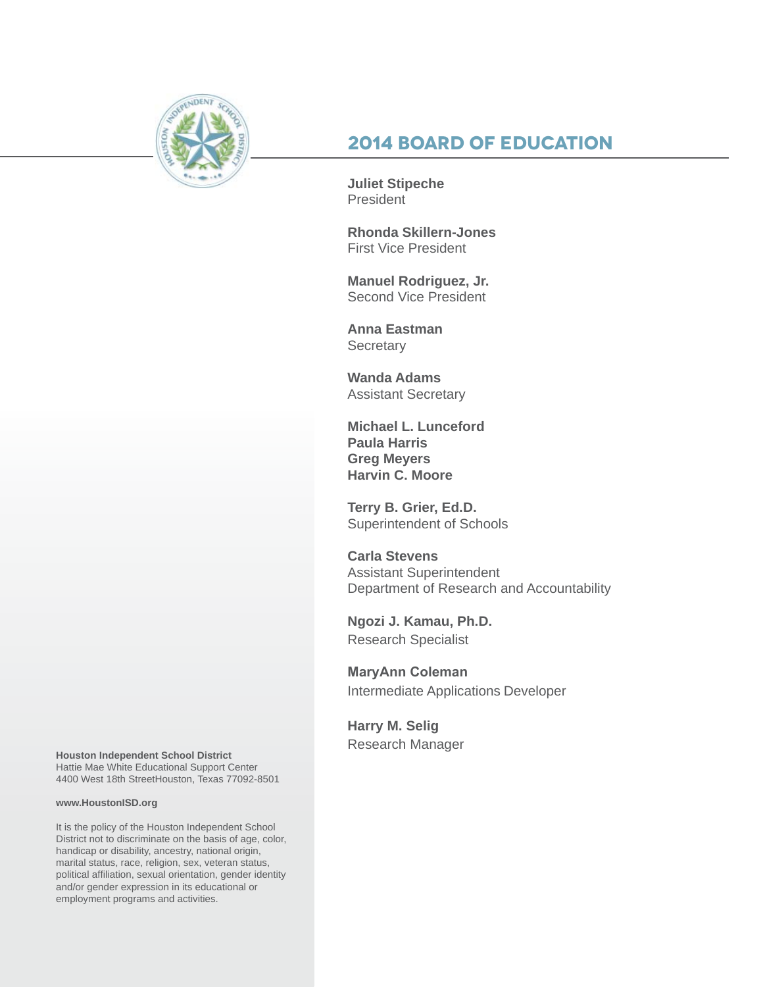

# **2014 Board of Education**

**Juliet Stipeche** President

**Rhonda Skillern-Jones** First Vice President

**Manuel Rodriguez, Jr.** Second Vice President

**Anna Eastman Secretary** 

**Wanda Adams** Assistant Secretary

**Michael L. Lunceford Paula Harris Greg Meyers Harvin C. Moore**

**Terry B. Grier, Ed.D.** Superintendent of Schools

**Carla Stevens** Assistant Superintendent Department of Research and Accountability

**Ngozi J. Kamau, Ph.D.** Research Specialist

**MaryAnn Coleman** Intermediate Applications Developer

**Harry M. Selig**

Research Manager **Houston Independent School District** Hattie Mae White Educational Support Center 4400 West 18th StreetHouston, Texas 77092-8501

#### **www.HoustonISD.org**

It is the policy of the Houston Independent School District not to discriminate on the basis of age, color, handicap or disability, ancestry, national origin, marital status, race, religion, sex, veteran status, political affiliation, sexual orientation, gender identity and/or gender expression in its educational or employment programs and activities.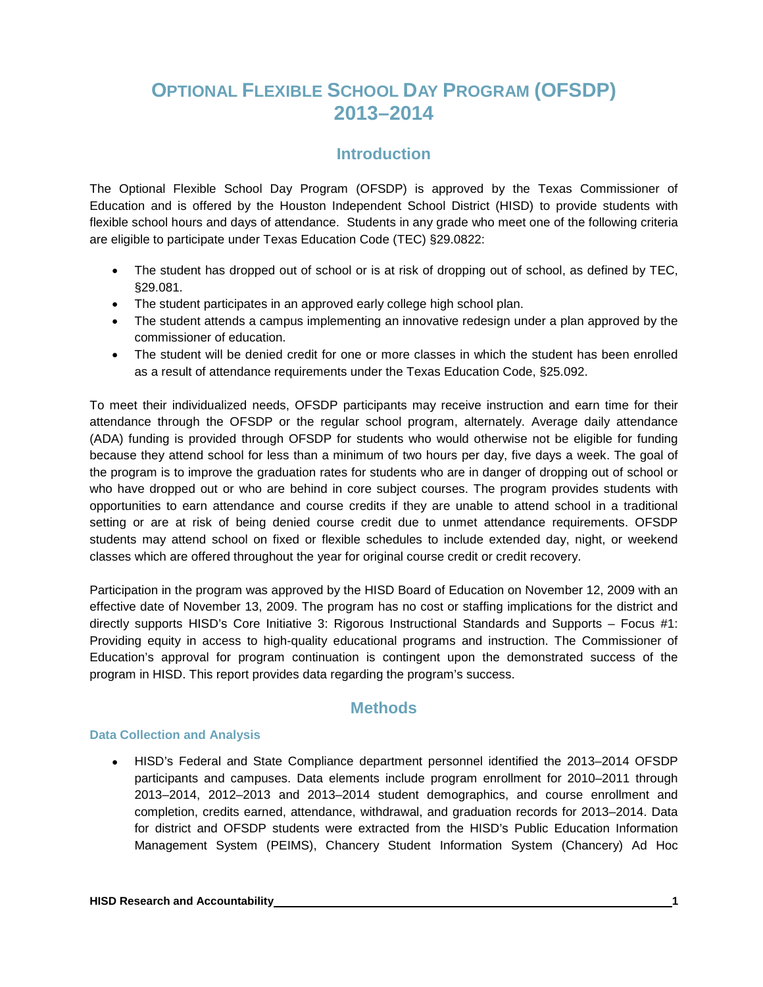# **OPTIONAL FLEXIBLE SCHOOL DAY PROGRAM (OFSDP) 2013–2014**

# **Introduction**

The Optional Flexible School Day Program (OFSDP) is approved by the Texas Commissioner of Education and is offered by the Houston Independent School District (HISD) to provide students with flexible school hours and days of attendance. Students in any grade who meet one of the following criteria are eligible to participate under Texas Education Code (TEC) §29.0822:

- The student has dropped out of school or is at risk of dropping out of school, as defined by TEC, §29.081.
- The student participates in an approved early college high school plan.
- The student attends a campus implementing an innovative redesign under a plan approved by the commissioner of education.
- The student will be denied credit for one or more classes in which the student has been enrolled as a result of attendance requirements under the Texas Education Code, §25.092.

To meet their individualized needs, OFSDP participants may receive instruction and earn time for their attendance through the OFSDP or the regular school program, alternately. Average daily attendance (ADA) funding is provided through OFSDP for students who would otherwise not be eligible for funding because they attend school for less than a minimum of two hours per day, five days a week. The goal of the program is to improve the graduation rates for students who are in danger of dropping out of school or who have dropped out or who are behind in core subject courses. The program provides students with opportunities to earn attendance and course credits if they are unable to attend school in a traditional setting or are at risk of being denied course credit due to unmet attendance requirements. OFSDP students may attend school on fixed or flexible schedules to include extended day, night, or weekend classes which are offered throughout the year for original course credit or credit recovery.

Participation in the program was approved by the HISD Board of Education on November 12, 2009 with an effective date of November 13, 2009. The program has no cost or staffing implications for the district and directly supports HISD's Core Initiative 3: Rigorous Instructional Standards and Supports – Focus #1: Providing equity in access to high-quality educational programs and instruction. The Commissioner of Education's approval for program continuation is contingent upon the demonstrated success of the program in HISD. This report provides data regarding the program's success.

# **Methods**

#### **Data Collection and Analysis**

• HISD's Federal and State Compliance department personnel identified the 2013–2014 OFSDP participants and campuses. Data elements include program enrollment for 2010–2011 through 2013–2014, 2012–2013 and 2013–2014 student demographics, and course enrollment and completion, credits earned, attendance, withdrawal, and graduation records for 2013–2014. Data for district and OFSDP students were extracted from the HISD's Public Education Information Management System (PEIMS), Chancery Student Information System (Chancery) Ad Hoc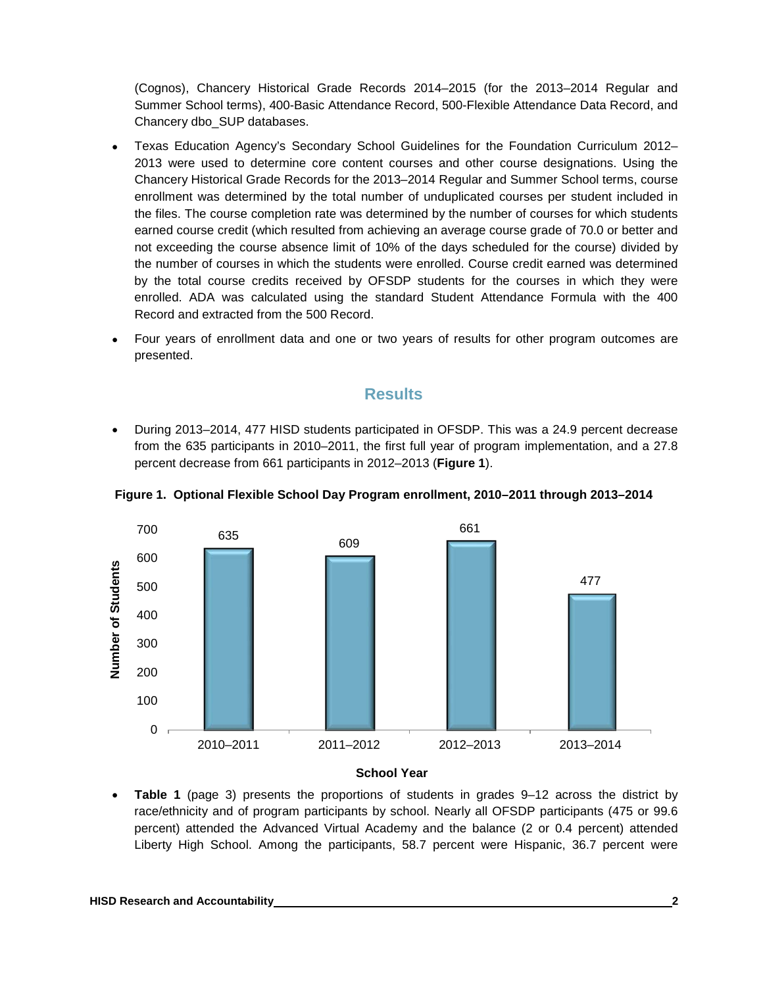(Cognos), Chancery Historical Grade Records 2014–2015 (for the 2013–2014 Regular and Summer School terms), 400-Basic Attendance Record, 500-Flexible Attendance Data Record, and Chancery dbo\_SUP databases.

- Texas Education Agency's Secondary School Guidelines for the Foundation Curriculum 2012– 2013 were used to determine core content courses and other course designations. Using the Chancery Historical Grade Records for the 2013–2014 Regular and Summer School terms, course enrollment was determined by the total number of unduplicated courses per student included in the files. The course completion rate was determined by the number of courses for which students earned course credit (which resulted from achieving an average course grade of 70.0 or better and not exceeding the course absence limit of 10% of the days scheduled for the course) divided by the number of courses in which the students were enrolled. Course credit earned was determined by the total course credits received by OFSDP students for the courses in which they were enrolled. ADA was calculated using the standard Student Attendance Formula with the 400 Record and extracted from the 500 Record.
- Four years of enrollment data and one or two years of results for other program outcomes are presented.

## **Results**

• During 2013–2014, 477 HISD students participated in OFSDP. This was a 24.9 percent decrease from the 635 participants in 2010–2011, the first full year of program implementation, and a 27.8 percent decrease from 661 participants in 2012–2013 (**Figure 1**).



**Figure 1. Optional Flexible School Day Program enrollment, 2010–2011 through 2013–2014**

• **Table 1** (page 3) presents the proportions of students in grades 9–12 across the district by race/ethnicity and of program participants by school. Nearly all OFSDP participants (475 or 99.6 percent) attended the Advanced Virtual Academy and the balance (2 or 0.4 percent) attended Liberty High School. Among the participants, 58.7 percent were Hispanic, 36.7 percent were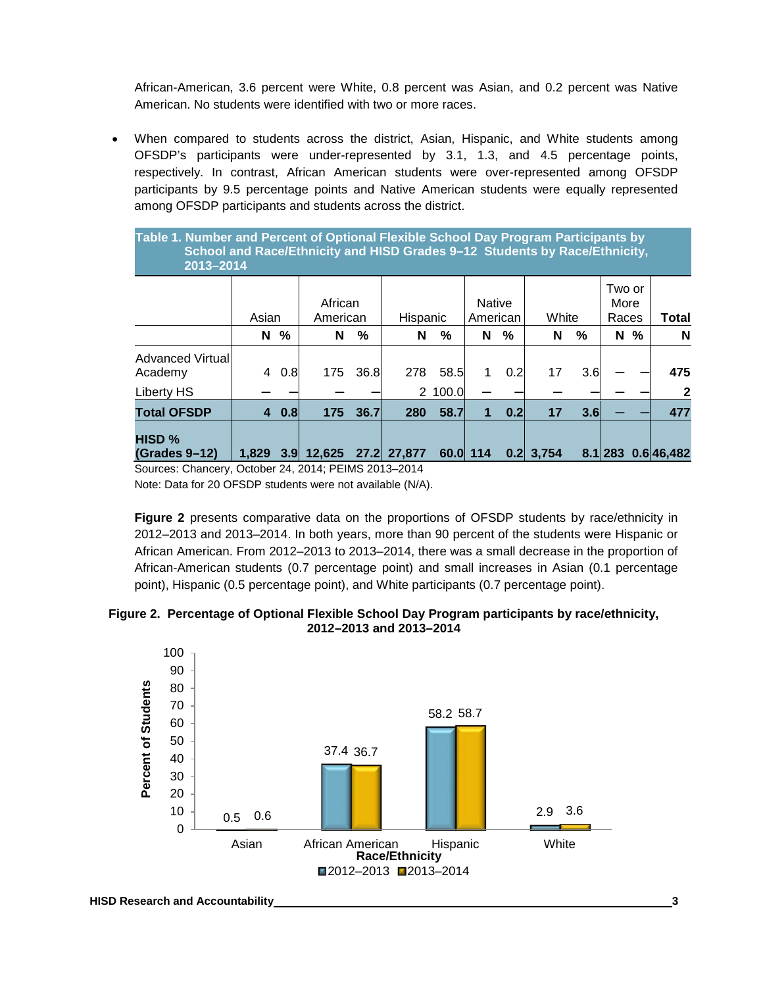African-American, 3.6 percent were White, 0.8 percent was Asian, and 0.2 percent was Native American. No students were identified with two or more races.

• When compared to students across the district, Asian, Hispanic, and White students among OFSDP's participants were under-represented by 3.1, 1.3, and 4.5 percentage points, respectively. In contrast, African American students were over-represented among OFSDP participants by 9.5 percentage points and Native American students were equally represented among OFSDP participants and students across the district.

**Table 1. Number and Percent of Optional Flexible School Day Program Participants by**  School and Race/Ethnicity and HISD Grades 9-12 Students by Race/Ethnicity, **….…......2013–2014** 

|                                                       | Asian |           | African<br>American                                                                                         |      | Hispanic    |         | <b>Native</b><br>American |     | White       |      | Two or<br>More<br>Races |   | Total                    |
|-------------------------------------------------------|-------|-----------|-------------------------------------------------------------------------------------------------------------|------|-------------|---------|---------------------------|-----|-------------|------|-------------------------|---|--------------------------|
|                                                       | N     | %         | N                                                                                                           | $\%$ | N           | %       | N                         | %   | N           | $\%$ | N                       | % | N                        |
| Advanced Virtual<br>Academy                           | 4     | 0.8       | 175                                                                                                         | 36.8 | 278         | 58.5    |                           | 0.2 | 17          | 3.6  |                         |   | 475                      |
| Liberty HS                                            |       |           |                                                                                                             |      |             | 2 100.0 |                           |     |             |      |                         |   | $\mathbf{2}$             |
| <b>Total OFSDP</b>                                    |       | $4 \t0.8$ | 175                                                                                                         | 36.7 | 280         | 58.7    |                           | 0.2 | 17          | 3.6  |                         |   | 477                      |
| HISD %<br><b>(Grades 9-12)</b><br>$\bigcap$ $\bigcap$ | 1.829 |           | 3.9 12,625<br>$Q_{i+1}$ , $Q_{i+1}$ , $Q_{i+1}$ , $Q_{i+1}$ , $Q_{i+1}$ , $Q_{i+1}$ , $Q_{i+1}$ , $Q_{i+1}$ |      | 27.2 27,877 |         | 60.0 114                  |     | $0.2$ 3,754 |      |                         |   | $8.1$   283 0.6  46, 482 |

Sources: Chancery, October 24, 2014; PEIMS 2013–2014

Note: Data for 20 OFSDP students were not available (N/A).

**Figure 2** presents comparative data on the proportions of OFSDP students by race/ethnicity in 2012–2013 and 2013–2014. In both years, more than 90 percent of the students were Hispanic or African American. From 2012–2013 to 2013–2014, there was a small decrease in the proportion of African-American students (0.7 percentage point) and small increases in Asian (0.1 percentage point), Hispanic (0.5 percentage point), and White participants (0.7 percentage point).

#### **Figure 2. Percentage of Optional Flexible School Day Program participants by race/ethnicity, 2012–2013 and 2013–2014**

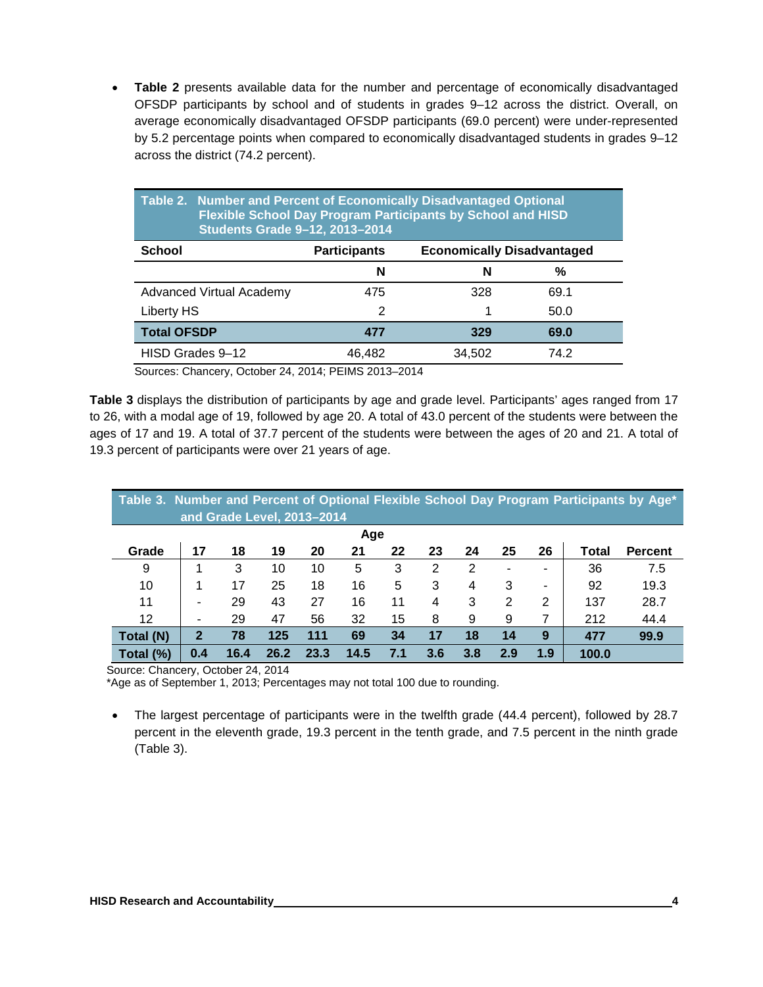• **Table 2** presents available data for the number and percentage of economically disadvantaged OFSDP participants by school and of students in grades 9–12 across the district. Overall, on average economically disadvantaged OFSDP participants (69.0 percent) were under-represented by 5.2 percentage points when compared to economically disadvantaged students in grades 9–12 across the district (74.2 percent).

|                                 | Table 2. Number and Percent of Economically Disadvantaged Optional<br><b>Flexible School Day Program Participants by School and HISD</b><br>Students Grade 9-12, 2013-2014 |                                   |      |  |  |  |  |  |  |
|---------------------------------|----------------------------------------------------------------------------------------------------------------------------------------------------------------------------|-----------------------------------|------|--|--|--|--|--|--|
| <b>School</b>                   | <b>Participants</b>                                                                                                                                                        | <b>Economically Disadvantaged</b> |      |  |  |  |  |  |  |
|                                 | N                                                                                                                                                                          | N                                 | %    |  |  |  |  |  |  |
| <b>Advanced Virtual Academy</b> | 475                                                                                                                                                                        | 328                               | 69.1 |  |  |  |  |  |  |
| Liberty HS                      | 2                                                                                                                                                                          |                                   | 50.0 |  |  |  |  |  |  |
| <b>Total OFSDP</b>              | 477                                                                                                                                                                        | 329                               | 69.0 |  |  |  |  |  |  |
| HISD Grades 9-12                | 46,482                                                                                                                                                                     | 34,502                            | 74.2 |  |  |  |  |  |  |

Sources: Chancery, October 24, 2014; PEIMS 2013–2014

**Table 3** displays the distribution of participants by age and grade level. Participants' ages ranged from 17 to 26, with a modal age of 19, followed by age 20. A total of 43.0 percent of the students were between the ages of 17 and 19. A total of 37.7 percent of the students were between the ages of 20 and 21. A total of 19.3 percent of participants were over 21 years of age.

| Table 3. Number and Percent of Optional Flexible School Day Program Participants by Age*<br>and Grade Level, 2013-2014 |                |      |      |      |      |     |     |     |     |     |       |                |
|------------------------------------------------------------------------------------------------------------------------|----------------|------|------|------|------|-----|-----|-----|-----|-----|-------|----------------|
| Age                                                                                                                    |                |      |      |      |      |     |     |     |     |     |       |                |
| Grade                                                                                                                  | 17             | 18   | 19   | 20   | 21   | 22  | 23  | 24  | 25  | 26  | Total | <b>Percent</b> |
| 9                                                                                                                      |                | 3    | 10   | 10   | 5    | 3   | 2   | 2   |     | ۰   | 36    | 7.5            |
| 10                                                                                                                     |                | 17   | 25   | 18   | 16   | 5   | 3   | 4   | 3   | ۰   | 92    | 19.3           |
| 11                                                                                                                     | ۰              | 29   | 43   | 27   | 16   | 11  | 4   | 3   | 2   | 2   | 137   | 28.7           |
| 12                                                                                                                     | $\blacksquare$ | 29   | 47   | 56   | 32   | 15  | 8   | 9   | 9   | 7   | 212   | 44.4           |
| Total (N)                                                                                                              | $\mathbf{2}$   | 78   | 125  | 111  | 69   | 34  | 17  | 18  | 14  | 9   | 477   | 99.9           |
| Total (%)                                                                                                              | 0.4            | 16.4 | 26.2 | 23.3 | 14.5 | 7.1 | 3.6 | 3.8 | 2.9 | 1.9 | 100.0 |                |

Source: Chancery, October 24, 2014

\*Age as of September 1, 2013; Percentages may not total 100 due to rounding.

• The largest percentage of participants were in the twelfth grade (44.4 percent), followed by 28.7 percent in the eleventh grade, 19.3 percent in the tenth grade, and 7.5 percent in the ninth grade (Table 3).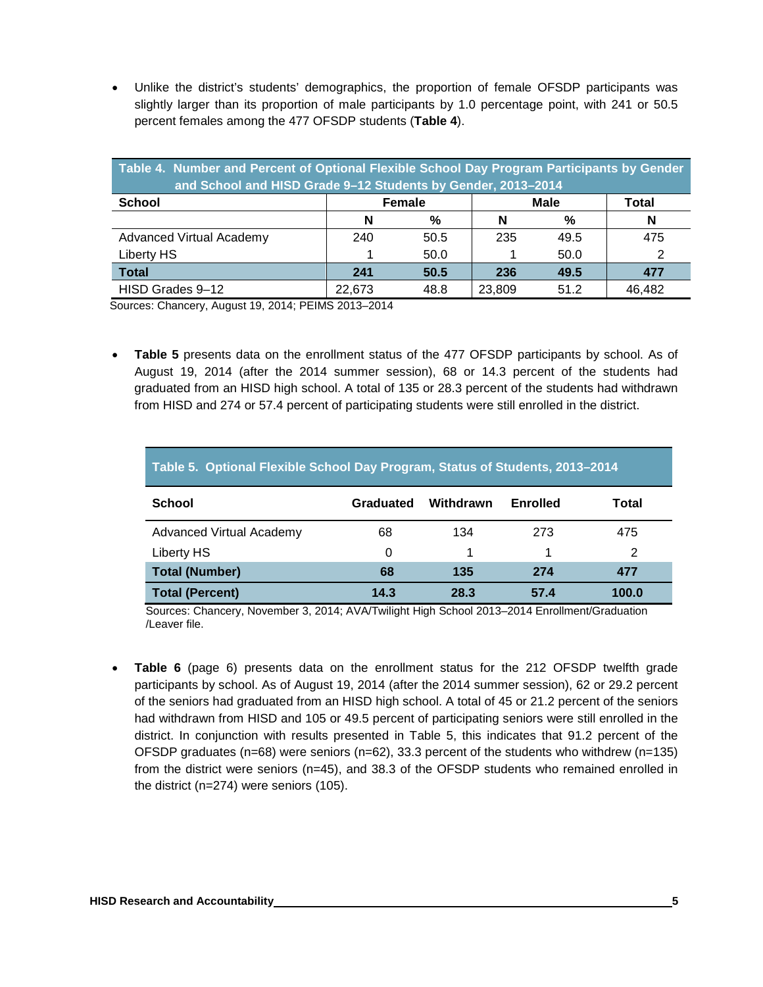• Unlike the district's students' demographics, the proportion of female OFSDP participants was slightly larger than its proportion of male participants by 1.0 percentage point, with 241 or 50.5 percent females among the 477 OFSDP students (**Table 4**).

| Table 4. Number and Percent of Optional Flexible School Day Program Participants by Gender<br>and School and HISD Grade 9-12 Students by Gender, 2013-2014 |        |               |                      |      |        |  |  |  |  |
|------------------------------------------------------------------------------------------------------------------------------------------------------------|--------|---------------|----------------------|------|--------|--|--|--|--|
| <b>School</b>                                                                                                                                              |        | <b>Female</b> | <b>Male</b><br>Total |      |        |  |  |  |  |
|                                                                                                                                                            | N      | %             | N                    | %    | N      |  |  |  |  |
| Advanced Virtual Academy                                                                                                                                   | 240    | 50.5          | 235                  | 49.5 | 475    |  |  |  |  |
| Liberty HS                                                                                                                                                 |        | 50.0          |                      | 50.0 |        |  |  |  |  |
| <b>Total</b>                                                                                                                                               | 241    | 50.5          | 236                  | 49.5 | 477    |  |  |  |  |
| HISD Grades 9-12                                                                                                                                           | 22.673 | 48.8          | 23,809               | 51.2 | 46,482 |  |  |  |  |

Sources: Chancery, August 19, 2014; PEIMS 2013–2014

• **Table 5** presents data on the enrollment status of the 477 OFSDP participants by school. As of August 19, 2014 (after the 2014 summer session), 68 or 14.3 percent of the students had graduated from an HISD high school. A total of 135 or 28.3 percent of the students had withdrawn from HISD and 274 or 57.4 percent of participating students were still enrolled in the district.

| Table 5. Optional Flexible School Day Program, Status of Students, 2013-2014 |           |           |          |       |  |  |  |  |
|------------------------------------------------------------------------------|-----------|-----------|----------|-------|--|--|--|--|
| <b>School</b>                                                                | Graduated | Withdrawn | Enrolled | Total |  |  |  |  |
| <b>Advanced Virtual Academy</b>                                              | 68        | 134       | 273      | 475   |  |  |  |  |
| Liberty HS                                                                   | 0         |           |          | 2     |  |  |  |  |
| <b>Total (Number)</b>                                                        | 68        | 135       | 274      | 477   |  |  |  |  |
| <b>Total (Percent)</b>                                                       | 14.3      | 28.3      | 57.4     | 100.0 |  |  |  |  |

Sources: Chancery, November 3, 2014; AVA/Twilight High School 2013–2014 Enrollment/Graduation /Leaver file.

• **Table 6** (page 6) presents data on the enrollment status for the 212 OFSDP twelfth grade participants by school. As of August 19, 2014 (after the 2014 summer session), 62 or 29.2 percent of the seniors had graduated from an HISD high school. A total of 45 or 21.2 percent of the seniors had withdrawn from HISD and 105 or 49.5 percent of participating seniors were still enrolled in the district. In conjunction with results presented in Table 5, this indicates that 91.2 percent of the OFSDP graduates ( $n=68$ ) were seniors ( $n=62$ ), 33.3 percent of the students who withdrew ( $n=135$ ) from the district were seniors (n=45), and 38.3 of the OFSDP students who remained enrolled in the district (n=274) were seniors (105).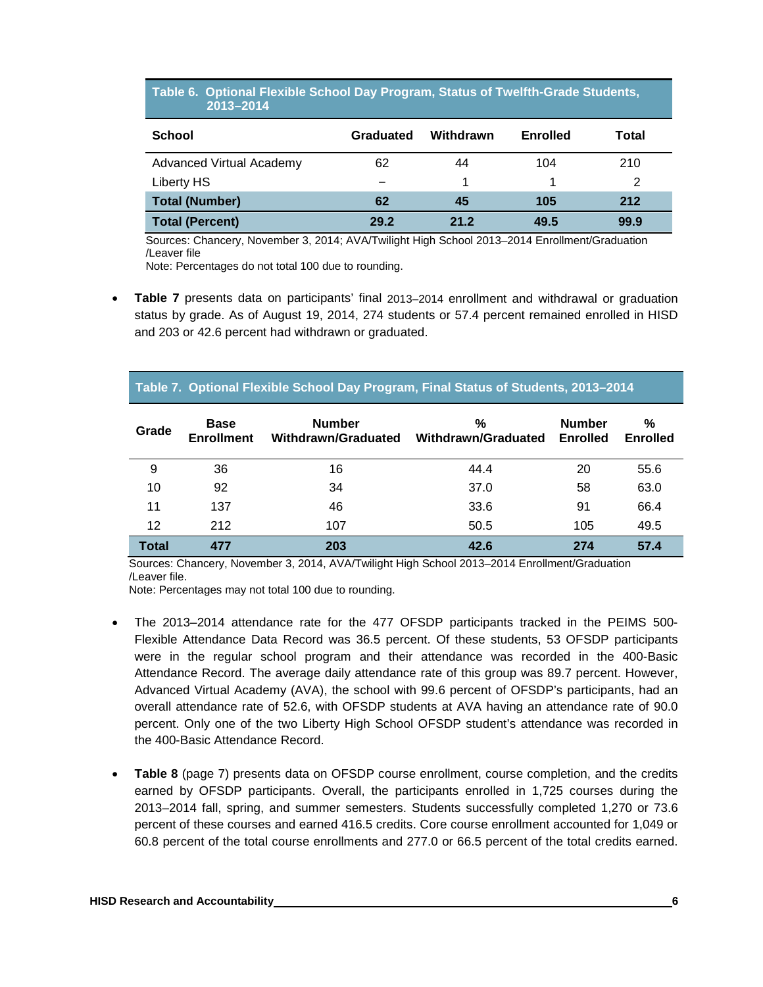#### **Table 6. Optional Flexible School Day Program, Status of Twelfth-Grade Students, ……....….2013–2014**

| <b>School</b>                   | Graduated | Withdrawn | <b>Enrolled</b> | Total |
|---------------------------------|-----------|-----------|-----------------|-------|
| <b>Advanced Virtual Academy</b> | 62        | 44        | 104             | 210   |
| Liberty HS                      |           |           |                 | 2     |
| <b>Total (Number)</b>           | 62        | 45        | 105             | 212   |
| <b>Total (Percent)</b>          | 29.2      | 21.2      | 49.5            | 99.9  |

Sources: Chancery, November 3, 2014; AVA/Twilight High School 2013–2014 Enrollment/Graduation /Leaver file

Note: Percentages do not total 100 due to rounding.

• **Table 7** presents data on participants' final 2013–2014 enrollment and withdrawal or graduation status by grade. As of August 19, 2014, 274 students or 57.4 percent remained enrolled in HISD and 203 or 42.6 percent had withdrawn or graduated.

#### **Table 7. Optional Flexible School Day Program, Final Status of Students, 2013–2014**

| Grade        | <b>Base</b><br><b>Enrollment</b> | <b>Number</b><br>Withdrawn/Graduated | %<br>Withdrawn/Graduated | <b>Number</b><br><b>Enrolled</b> | %<br><b>Enrolled</b> |
|--------------|----------------------------------|--------------------------------------|--------------------------|----------------------------------|----------------------|
| 9            | 36                               | 16                                   | 44.4                     | 20                               | 55.6                 |
| 10           | 92                               | 34                                   | 37.0                     | 58                               | 63.0                 |
| 11           | 137                              | 46                                   | 33.6                     | 91                               | 66.4                 |
| 12           | 212                              | 107                                  | 50.5                     | 105                              | 49.5                 |
| <b>Total</b> | 477                              | 203                                  | 42.6                     | 274                              | 57.4                 |

Sources: Chancery, November 3, 2014, AVA/Twilight High School 2013–2014 Enrollment/Graduation /Leaver file.

Note: Percentages may not total 100 due to rounding.

- The 2013–2014 attendance rate for the 477 OFSDP participants tracked in the PEIMS 500- Flexible Attendance Data Record was 36.5 percent. Of these students, 53 OFSDP participants were in the regular school program and their attendance was recorded in the 400-Basic Attendance Record. The average daily attendance rate of this group was 89.7 percent. However, Advanced Virtual Academy (AVA), the school with 99.6 percent of OFSDP's participants, had an overall attendance rate of 52.6, with OFSDP students at AVA having an attendance rate of 90.0 percent. Only one of the two Liberty High School OFSDP student's attendance was recorded in the 400-Basic Attendance Record.
- **Table 8** (page 7) presents data on OFSDP course enrollment, course completion, and the credits earned by OFSDP participants. Overall, the participants enrolled in 1,725 courses during the 2013–2014 fall, spring, and summer semesters. Students successfully completed 1,270 or 73.6 percent of these courses and earned 416.5 credits. Core course enrollment accounted for 1,049 or 60.8 percent of the total course enrollments and 277.0 or 66.5 percent of the total credits earned.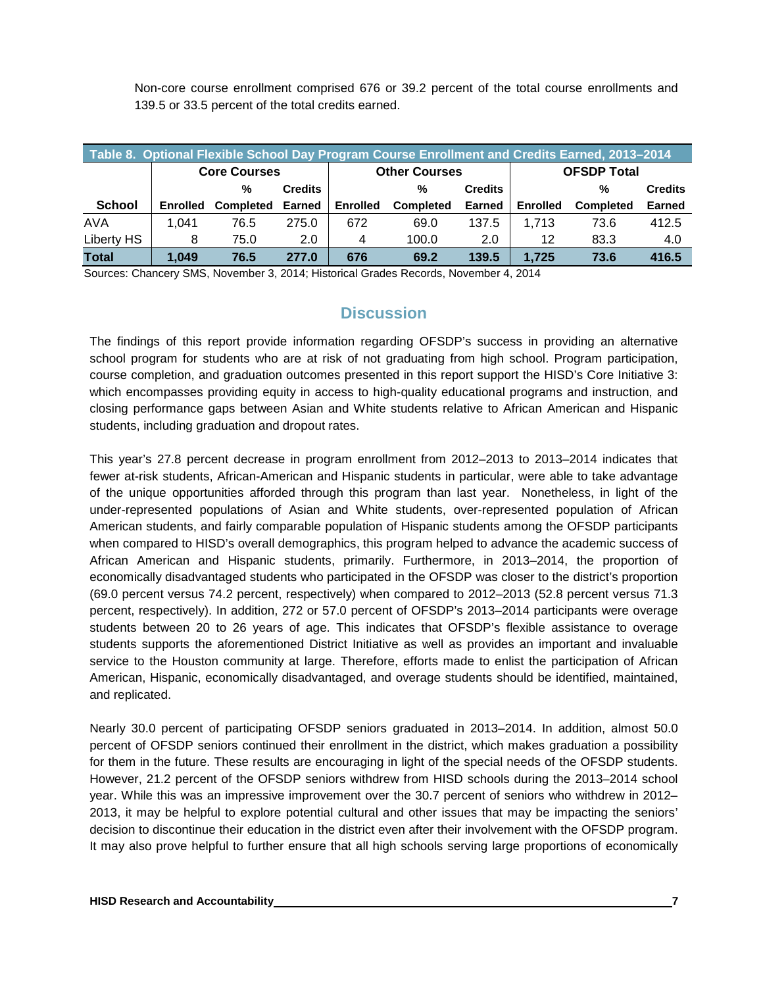Non-core course enrollment comprised 676 or 39.2 percent of the total course enrollments and 139.5 or 33.5 percent of the total credits earned.

| Table 8. Optional Flexible School Day Program Course Enrollment and Credits Earned, 2013-2014 |                     |                  |                |                 |                      |                |                    |                  |                |  |
|-----------------------------------------------------------------------------------------------|---------------------|------------------|----------------|-----------------|----------------------|----------------|--------------------|------------------|----------------|--|
|                                                                                               | <b>Core Courses</b> |                  |                |                 | <b>Other Courses</b> |                | <b>OFSDP Total</b> |                  |                |  |
|                                                                                               |                     | %                | <b>Credits</b> |                 | %                    | <b>Credits</b> |                    | %                | <b>Credits</b> |  |
| <b>School</b>                                                                                 | <b>Enrolled</b>     | <b>Completed</b> | <b>Earned</b>  | <b>Enrolled</b> | <b>Completed</b>     | Earned         | <b>Enrolled</b>    | <b>Completed</b> | <b>Earned</b>  |  |
| <b>AVA</b>                                                                                    | 1.041               | 76.5             | 275.0          | 672             | 69.0                 | 137.5          | 1.713              | 73.6             | 412.5          |  |
| Liberty HS                                                                                    | 8                   | 75.0             | 2.0            | 4               | 100.0                | 2.0            | 12                 | 83.3             | 4.0            |  |
| <b>Total</b>                                                                                  | 1.049               | 76.5             | 277.0          | 676             | 69.2                 | 139.5          | 1.725              | 73.6             | 416.5          |  |

Sources: Chancery SMS, November 3, 2014; Historical Grades Records, November 4, 2014

# **Discussion**

The findings of this report provide information regarding OFSDP's success in providing an alternative school program for students who are at risk of not graduating from high school. Program participation, course completion, and graduation outcomes presented in this report support the HISD's Core Initiative 3: which encompasses providing equity in access to high-quality educational programs and instruction, and closing performance gaps between Asian and White students relative to African American and Hispanic students, including graduation and dropout rates.

This year's 27.8 percent decrease in program enrollment from 2012–2013 to 2013–2014 indicates that fewer at-risk students, African-American and Hispanic students in particular, were able to take advantage of the unique opportunities afforded through this program than last year. Nonetheless, in light of the under-represented populations of Asian and White students, over-represented population of African American students, and fairly comparable population of Hispanic students among the OFSDP participants when compared to HISD's overall demographics, this program helped to advance the academic success of African American and Hispanic students, primarily. Furthermore, in 2013–2014, the proportion of economically disadvantaged students who participated in the OFSDP was closer to the district's proportion (69.0 percent versus 74.2 percent, respectively) when compared to 2012–2013 (52.8 percent versus 71.3 percent, respectively). In addition, 272 or 57.0 percent of OFSDP's 2013–2014 participants were overage students between 20 to 26 years of age. This indicates that OFSDP's flexible assistance to overage students supports the aforementioned District Initiative as well as provides an important and invaluable service to the Houston community at large. Therefore, efforts made to enlist the participation of African American, Hispanic, economically disadvantaged, and overage students should be identified, maintained, and replicated.

Nearly 30.0 percent of participating OFSDP seniors graduated in 2013–2014. In addition, almost 50.0 percent of OFSDP seniors continued their enrollment in the district, which makes graduation a possibility for them in the future. These results are encouraging in light of the special needs of the OFSDP students. However, 21.2 percent of the OFSDP seniors withdrew from HISD schools during the 2013–2014 school year. While this was an impressive improvement over the 30.7 percent of seniors who withdrew in 2012– 2013, it may be helpful to explore potential cultural and other issues that may be impacting the seniors' decision to discontinue their education in the district even after their involvement with the OFSDP program. It may also prove helpful to further ensure that all high schools serving large proportions of economically